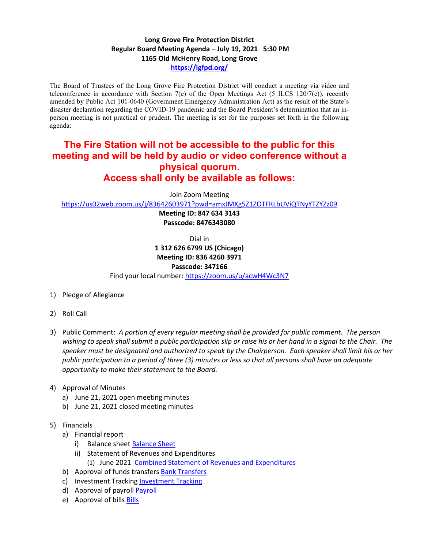## **Long Grove Fire Protection District Regular Board Meeting Agenda – July 19, 2021 5:30 PM 1165 Old McHenry Road, Long Grove <https://lgfpd.org/>**

The Board of Trustees of the Long Grove Fire Protection District will conduct a meeting via video and teleconference in accordance with Section 7(e) of the Open Meetings Act (5 ILCS 120/7(e)), recently amended by Public Act 101-0640 (Government Emergency Administration Act) as the result of the State's disaster declaration regarding the COVID-19 pandemic and the Board President's determination that an inperson meeting is not practical or prudent. The meeting is set for the purposes set forth in the following agenda:

## **The Fire Station will not be accessible to the public for this meeting and will be held by audio or video conference without a physical quorum. Access shall only be available as follows:**

Join Zoom Meeting

<https://us02web.zoom.us/j/83642603971?pwd=amxJMXg5Z1ZOTFRLbUViQTNyYTZYZz09>

**Meeting ID: 847 634 3143 Passcode: 8476343080**

Dial in

**1 312 626 6799 US (Chicago) Meeting ID: 836 4260 3971**

## **Passcode: 347166**

Find your local number[: https://zoom.us/u/acwH4Wc3N7](https://zoom.us/u/acwH4Wc3N7)

- 1) Pledge of Allegiance
- 2) Roll Call
- 3) Public Comment: *A portion of every regular meeting shall be provided for public comment. The person wishing to speak shall submit a public participation slip or raise his or her hand in a signal to the Chair. The speaker must be designated and authorized to speak by the Chairperson. Each speaker shall limit his or her public participation to a period of three (3) minutes or less so that all persons shall have an adequate opportunity to make their statement to the Board.*
- 4) Approval of Minutes
	- a) June 21, 2021 open meeting minutes
	- b) June 21, 2021 closed meeting minutes
- 5) Financials
	- a) Financial report
		- i) Balance sheet [Balance Sheet](https://itgophers.sharepoint.com/:b:/s/SharedDocs/ER1slDzj3AlPuinNoNFnUKoBCPYDS2KjfRbCwD6bGwwaPg?e=lSQep8)
		- ii) Statement of Revenues and Expenditures
			- (1) June 2021 [Combined Statement of Revenues and Expenditures](https://itgophers.sharepoint.com/:b:/s/SharedDocs/EVBJ6QpYM1hJnREE1tkR3dUBp1jgGUfTUXgWdX7KV734Zg?e=XpUmVl)
	- b) Approval of funds transfers [Bank Transfers](https://itgophers.sharepoint.com/:b:/s/SharedDocs/EQw4RfvSaINNiBTDINOqFw4Bm7WElmUedcJYA21zYmj3Ng?e=yqh6YM)
	- c) Investment Tracking [Investment Tracking](https://itgophers.sharepoint.com/:b:/s/SharedDocs/ESHnA1udwx1LniDuDzJbWv8BLxdVnMgEGeeXMZ49r2Qsnw?e=mIwdG7)
	- d) Approval of payrol[l Payroll](https://itgophers.sharepoint.com/:b:/s/SharedDocs/ET7v4D6uq85PheD8Wzh_oWwBNo1qTFnp1NAikr0BuSc0wg?e=7SbgsN)
	- e) Approval of bills **Bills**